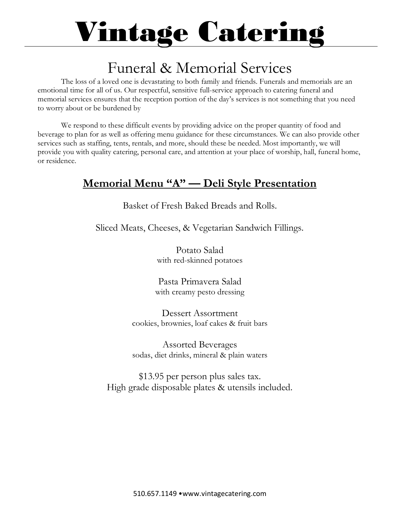### Funeral & Memorial Services

The loss of a loved one is devastating to both family and friends. Funerals and memorials are an emotional time for all of us. Our respectful, sensitive full-service approach to catering funeral and memorial services ensures that the reception portion of the day's services is not something that you need to worry about or be burdened by

We respond to these difficult events by providing advice on the proper quantity of food and beverage to plan for as well as offering menu guidance for these circumstances. We can also provide other services such as staffing, tents, rentals, and more, should these be needed. Most importantly, we will provide you with quality catering, personal care, and attention at your place of worship, hall, funeral home, or residence.

#### **Memorial Menu "A" — Deli Style Presentation**

Basket of Fresh Baked Breads and Rolls.

Sliced Meats, Cheeses, & Vegetarian Sandwich Fillings.

Potato Salad with red-skinned potatoes

Pasta Primavera Salad with creamy pesto dressing

Dessert Assortment cookies, brownies, loaf cakes & fruit bars

Assorted Beverages sodas, diet drinks, mineral & plain waters

\$13.95 per person plus sales tax. High grade disposable plates & utensils included.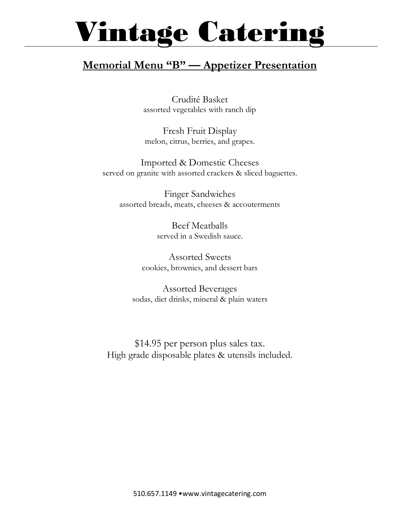#### **Memorial Menu "B" — Appetizer Presentation**

Crudité Basket assorted vegetables with ranch dip

Fresh Fruit Display melon, citrus, berries, and grapes.

Imported & Domestic Cheeses served on granite with assorted crackers & sliced baguettes.

Finger Sandwiches assorted breads, meats, cheeses & accouterments

> Beef Meatballs served in a Swedish sauce.

Assorted Sweets cookies, brownies, and dessert bars

Assorted Beverages sodas, diet drinks, mineral & plain waters

\$14.95 per person plus sales tax. High grade disposable plates & utensils included.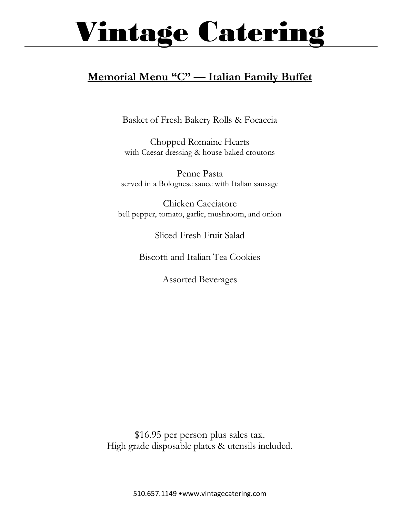#### **Memorial Menu "C" — Italian Family Buffet**

Basket of Fresh Bakery Rolls & Focaccia

Chopped Romaine Hearts with Caesar dressing & house baked croutons

Penne Pasta served in a Bolognese sauce with Italian sausage

Chicken Cacciatore bell pepper, tomato, garlic, mushroom, and onion

Sliced Fresh Fruit Salad

Biscotti and Italian Tea Cookies

Assorted Beverages

\$16.95 per person plus sales tax. High grade disposable plates & utensils included.